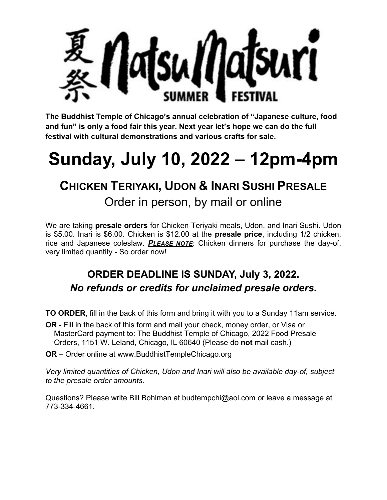

**The Buddhist Temple of Chicago's annual celebration of "Japanese culture, food and fun" is only a food fair this year. Next year let's hope we can do the full festival with cultural demonstrations and various crafts for sale.** 

## **Sunday, July 10, 2022 – 12pm-4pm**

## **CHICKEN TERIYAKI, UDON & INARI SUSHI PRESALE**

Order in person, by mail or online

We are taking **presale orders** for Chicken Teriyaki meals, Udon, and Inari Sushi. Udon is \$5.00. Inari is \$6.00. Chicken is \$12.00 at the **presale price**, including 1/2 chicken, rice and Japanese coleslaw. *PLEASE NOTE*: Chicken dinners for purchase the day-of, very limited quantity - So order now!

## **ORDER DEADLINE IS SUNDAY, July 3, 2022.**  *No refunds or credits for unclaimed presale orders.*

**TO ORDER**, fill in the back of this form and bring it with you to a Sunday 11am service.

- **OR** Fill in the back of this form and mail your check, money order, or Visa or MasterCard payment to: The Buddhist Temple of Chicago, 2022 Food Presale Orders, 1151 W. Leland, Chicago, IL 60640 (Please do **not** mail cash.)
- **OR** Order online at www.BuddhistTempleChicago.org

*Very limited quantities of Chicken, Udon and Inari will also be available day-of, subject to the presale order amounts.* 

Questions? Please write Bill Bohlman at budtempchi@aol.com or leave a message at 773-334-4661.